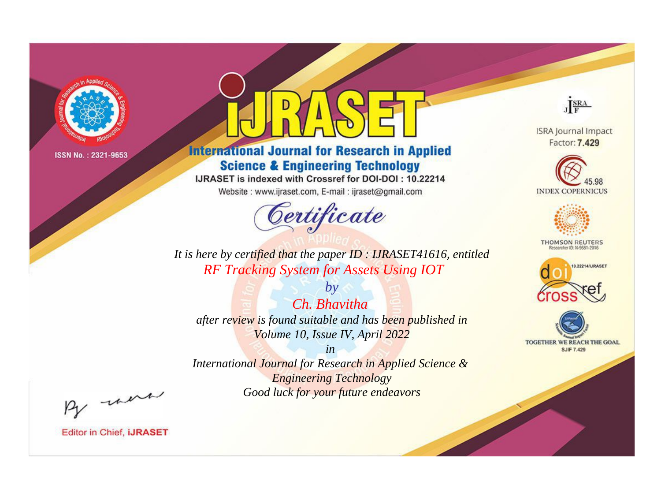

# **International Journal for Research in Applied Science & Engineering Technology**

IJRASET is indexed with Crossref for DOI-DOI: 10.22214

Website: www.ijraset.com, E-mail: ijraset@gmail.com



**ISRA Journal Impact** 

JERA

Factor: 7.429





**THOMSON REUTERS** 



TOGETHER WE REACH THE GOAL **SJIF 7.429** 

*It is here by certified that the paper ID : IJRASET41616, entitled RF Tracking System for Assets Using IOT*

*by Ch. Bhavitha after review is found suitable and has been published in Volume 10, Issue IV, April 2022*

*in* 

*International Journal for Research in Applied Science & Engineering Technology Good luck for your future endeavors*

By morn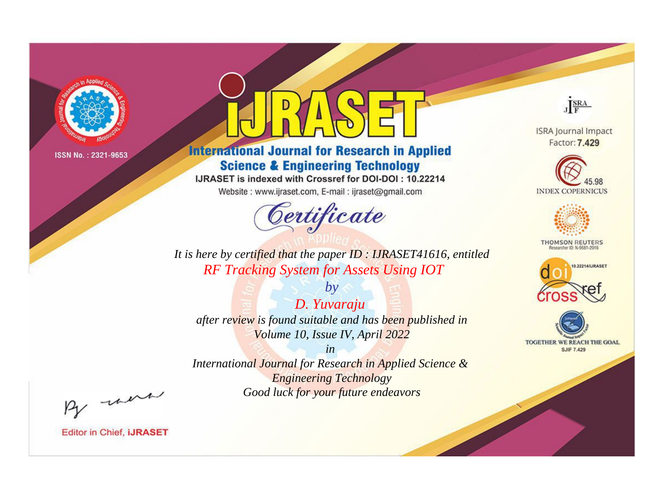

# **International Journal for Research in Applied Science & Engineering Technology**

IJRASET is indexed with Crossref for DOI-DOI: 10.22214

Website: www.ijraset.com, E-mail: ijraset@gmail.com



JERA **ISRA Journal Impact** 

Factor: 7.429





**THOMSON REUTERS** 



TOGETHER WE REACH THE GOAL **SJIF 7.429** 

*It is here by certified that the paper ID : IJRASET41616, entitled RF Tracking System for Assets Using IOT*

*by D. Yuvaraju after review is found suitable and has been published in Volume 10, Issue IV, April 2022*

*in* 

*International Journal for Research in Applied Science & Engineering Technology Good luck for your future endeavors*

By morn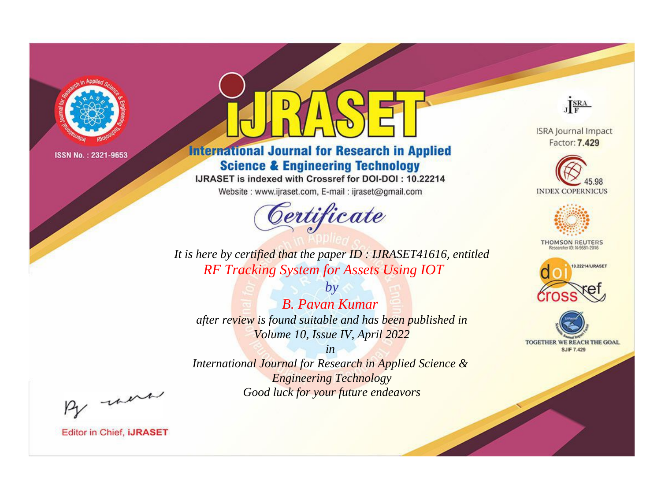

# **International Journal for Research in Applied Science & Engineering Technology**

IJRASET is indexed with Crossref for DOI-DOI: 10.22214

Website: www.ijraset.com, E-mail: ijraset@gmail.com



JERA

**ISRA Journal Impact** Factor: 7.429





**THOMSON REUTERS** 



TOGETHER WE REACH THE GOAL **SJIF 7.429** 

*It is here by certified that the paper ID : IJRASET41616, entitled RF Tracking System for Assets Using IOT*

*B. Pavan Kumar after review is found suitable and has been published in Volume 10, Issue IV, April 2022*

*by*

*in* 

*International Journal for Research in Applied Science & Engineering Technology Good luck for your future endeavors*

By morn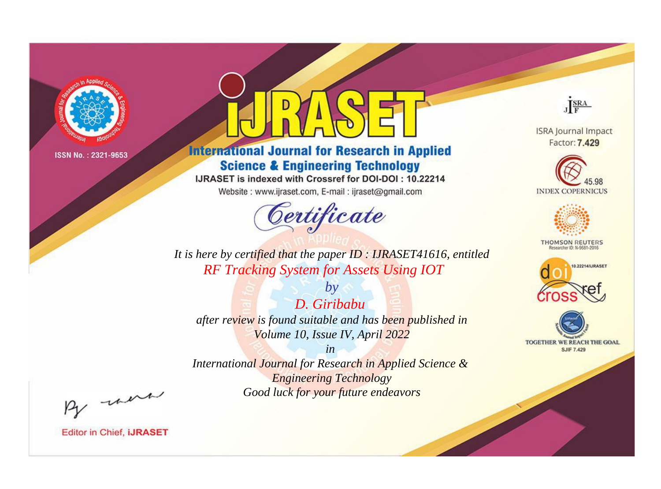

# **International Journal for Research in Applied Science & Engineering Technology**

IJRASET is indexed with Crossref for DOI-DOI: 10.22214

Website: www.ijraset.com, E-mail: ijraset@gmail.com



JERA

**ISRA Journal Impact** Factor: 7.429





**THOMSON REUTERS** 



TOGETHER WE REACH THE GOAL **SJIF 7.429** 

It is here by certified that the paper ID: IJRASET41616, entitled **RF Tracking System for Assets Using IOT** 

D. Giribabu after review is found suitable and has been published in Volume 10, Issue IV, April 2022

 $by$ 

 $in$ International Journal for Research in Applied Science & **Engineering Technology** Good luck for your future endeavors

By morn